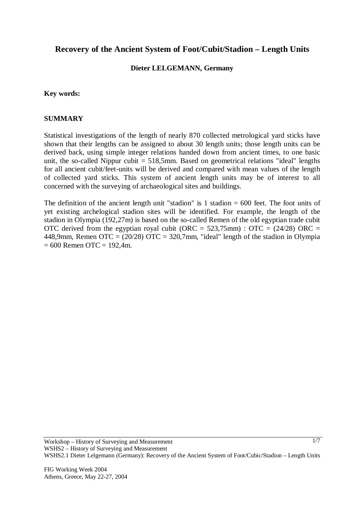# **Recovery of the Ancient System of Foot/Cubit/Stadion – Length Units**

## **Dieter LELGEMANN, Germany**

## **Key words:**

## **SUMMARY**

Statistical investigations of the length of nearly 870 collected metrological yard sticks have shown that their lengths can be assigned to about 30 length units; those length units can be derived back, using simple integer relations handed down from ancient times, to one basic unit, the so-called Nippur cubit  $= 518.5$ mm. Based on geometrical relations "ideal" lengths for all ancient cubit/feet-units will be derived and compared with mean values of the length of collected yard sticks. This system of ancient length units may be of interest to all concerned with the surveying of archaeological sites and buildings.

The definition of the ancient length unit "stadion" is 1 stadion  $= 600$  feet. The foot units of yet existing archelogical stadion sites will be identified. For example, the length of the stadion in Olympia (192,27m) is based on the so-called Remen of the old egyptian trade cubit OTC derived from the egyptian royal cubit (ORC =  $523,75$ mm) : OTC =  $(24/28)$  ORC = 448,9mm, Remen OTC =  $(20/28)$  OTC = 320,7mm, "ideal" length of the stadion in Olympia  $= 600$  Remen OTC = 192.4m.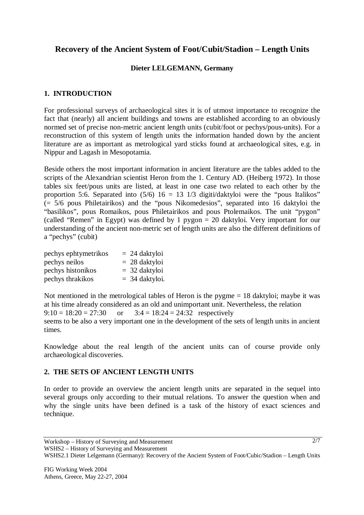# **Recovery of the Ancient System of Foot/Cubit/Stadion – Length Units**

## **Dieter LELGEMANN, Germany**

# **1. INTRODUCTION**

For professional surveys of archaeological sites it is of utmost importance to recognize the fact that (nearly) all ancient buildings and towns are established according to an obviously normed set of precise non-metric ancient length units (cubit/foot or pechys/pous-units). For a reconstruction of this system of length units the information handed down by the ancient literature are as important as metrological yard sticks found at archaeological sites, e.g. in Nippur and Lagash in Mesopotamia.

Beside others the most important information in ancient literature are the tables added to the scripts of the Alexandrian scientist Heron from the 1. Century AD. (Heiberg 1972). In those tables six feet/pous units are listed, at least in one case two related to each other by the proportion 5:6. Separated into  $(5/6)$  16 = 13 1/3 digiti/daktyloi were the "pous Italikos" (= 5/6 pous Philetairikos) and the "pous Nikomedesios", separated into 16 daktyloi the "basilikos", pous Romaikos, pous Philetairikos and pous Ptolemaikos. The unit "pygon" (called "Remen" in Egypt) was defined by 1 pygon = 20 daktyloi. Very important for our understanding of the ancient non-metric set of length units are also the different definitions of a "pechys" (cubit)

| pechys ephtymetrikos | $= 24$ daktyloi  |
|----------------------|------------------|
| pechys neilos        | $= 28$ daktyloi  |
| pechys histonikos    | $=$ 32 daktyloi  |
| pechys thrakikos     | $=$ 34 daktyloi. |

Not mentioned in the metrological tables of Heron is the pygme = 18 daktyloi; maybe it was at his time already considered as an old and unimportant unit. Nevertheless, the relation  $9:10 = 18:20 = 27:30$  or  $3:4 = 18:24 = 24:32$  respectively seems to be also a very important one in the development of the sets of length units in ancient times.

Knowledge about the real length of the ancient units can of course provide only archaeological discoveries.

# **2. THE SETS OF ANCIENT LENGTH UNITS**

In order to provide an overview the ancient length units are separated in the sequel into several groups only according to their mutual relations. To answer the question when and why the single units have been defined is a task of the history of exact sciences and technique.

WSHS2 – History of Surveying and Measurement

Workshop – History of Surveying and Measurement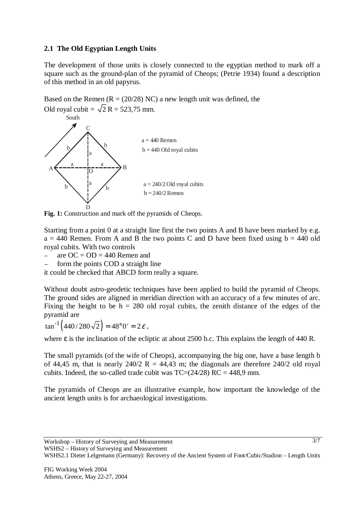# **2.1 The Old Egyptian Length Units**

The development of those units is closely connected to the egyptian method to mark off a square such as the ground-plan of the pyramid of Cheops; (Petrie 1934) found a description of this method in an old papyrus.

Based on the Remen  $(R = (20/28) NC)$  a new length unit was defined, the Old royal cubit =  $\sqrt{2}$  R = 523,75 mm.



Fig. 1: Construction and mark off the pyramids of Cheops.

Starting from a point 0 at a straight line first the two points A and B have been marked by e.g.  $a = 440$  Remen. From A and B the two points C and D have been fixed using  $b = 440$  old royal cubits. With two controls

 $-\qquad$ are OC = OD = 440 Remen and

form the points COD a straight line

it could be checked that ABCD form really a square.

Without doubt astro-geodetic techniques have been applied to build the pyramid of Cheops. The ground sides are aligned in meridian direction with an accuracy of a few minutes of arc. Fixing the height to be  $h = 280$  old royal cubits, the zenith distance of the edges of the pyramid are

 $\tan^{-1} (440 / 280 \sqrt{2}) = 48^{\circ} 0' = 2 \varepsilon$ ,

where ε is the inclination of the ecliptic at about 2500 b.c. This explains the length of 440 R.

The small pyramids (of the wife of Cheops), accompanying the big one, have a base length b of 44,45 m, that is nearly 240/2 R = 44,43 m; the diagonals are therefore 240/2 old royal cubits. Indeed, the so-called trade cubit was  $TC=(24/28) RC = 448.9 mm$ .

The pyramids of Cheops are an illustrative example, how important the knowledge of the ancient length units is for archaeological investigations.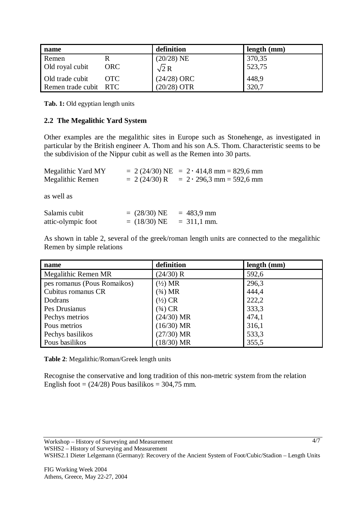| name                  |            | definition    | length (mm) |
|-----------------------|------------|---------------|-------------|
| Remen                 |            | $(20/28)$ NE  | 370,35      |
| Old royal cubit       | <b>ORC</b> | $\sqrt{2}R$   | 523,75      |
| Old trade cubit       | OTC.       | $(24/28)$ ORC | 448,9       |
| Remen trade cubit RTC |            | $(20/28)$ OTR | 320,7       |

**Tab. 1:** Old egyptian length units

## **2.2 The Megalithic Yard System**

Other examples are the megalithic sites in Europe such as Stonehenge, as investigated in particular by the British engineer A. Thom and his son A.S. Thom. Characteristic seems to be the subdivision of the Nippur cubit as well as the Remen into 30 parts.

| Megalithic Yard MY<br>Megalithic Remen | $= 2 (24/30) R$                          | $= 2 (24/30)$ NE $= 2 \cdot 414.8$ mm $= 829.6$ mm<br>$= 2 \cdot 296.3$ mm $= 592.6$ mm |
|----------------------------------------|------------------------------------------|-----------------------------------------------------------------------------------------|
| as well as                             |                                          |                                                                                         |
| Salamis cubit<br>attic-olympic foot    | $= (28/30) NE$<br>$= (18/30) \text{ NE}$ | $= 483.9$ mm<br>$= 311,1$ mm.                                                           |

As shown in table 2, several of the greek/roman length units are connected to the megalithic Remen by simple relations

| name                        | definition         | length (mm) |
|-----------------------------|--------------------|-------------|
| Megalithic Remen MR         | (24/30) R          | 592,6       |
| pes romanus (Pous Romaikos) | $(\frac{1}{2})$ MR | 296,3       |
| Cubitus romanus CR          | $(3/4)$ MR         | 444,4       |
| Dodrans                     | $(\frac{1}{2})$ CR | 222,2       |
| Pes Drusianus               | $(3/4)$ CR         | 333,3       |
| Pechys metrios              | $(24/30)$ MR       | 474,1       |
| Pous metrios                | $(16/30)$ MR       | 316,1       |
| Pechys basilikos            | $(27/30)$ MR       | 533,3       |
| Pous basilikos              | $(18/30)$ MR       | 355,5       |

**Table 2**: Megalithic/Roman/Greek length units

Recognise the conservative and long tradition of this non-metric system from the relation English foot =  $(24/28)$  Pous basilikos = 304,75 mm.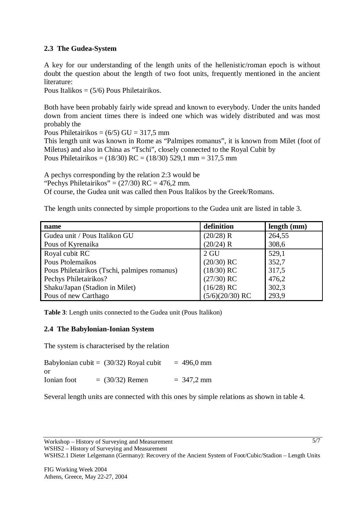# **2.3 The Gudea-System**

A key for our understanding of the length units of the hellenistic/roman epoch is without doubt the question about the length of two foot units, frequently mentioned in the ancient literature:

Pous Italikos = (5/6) Pous Philetairikos.

Both have been probably fairly wide spread and known to everybody. Under the units handed down from ancient times there is indeed one which was widely distributed and was most probably the

Pous Philetairikos =  $(6/5)$  GU = 317,5 mm

This length unit was known in Rome as "Palmipes romanus", it is known from Milet (foot of Miletus) and also in China as "Tschi", closely connected to the Royal Cubit by Pous Philetairikos = (18/30) RC = (18/30) 529,1 mm = 317,5 mm

A pechys corresponding by the relation 2:3 would be

"Pechys Philetairikos" =  $(27/30)$  RC = 476,2 mm.

Of course, the Gudea unit was called then Pous Italikos by the Greek/Romans.

The length units connected by simple proportions to the Gudea unit are listed in table 3.

| name                                         | definition        | length (mm) |
|----------------------------------------------|-------------------|-------------|
| Gudea unit / Pous Italikon GU                | (20/28) R         | 264,55      |
| Pous of Kyrenaika                            | $(20/24)$ R       | 308,6       |
| Royal cubit RC                               | $2 \text{ GU}$    | 529,1       |
| Pous Ptolemaikos                             | $(20/30)$ RC      | 352,7       |
| Pous Philetairikos (Tschi, palmipes romanus) | $(18/30)$ RC      | 317,5       |
| Pechys Philetairikos?                        | $(27/30)$ RC      | 476,2       |
| Shaku/Japan (Stadion in Milet)               | $(16/28)$ RC      | 302,3       |
| Pous of new Carthago                         | $(5/6)(20/30)$ RC | 293,9       |

**Table 3**: Length units connected to the Gudea unit (Pous Italikon)

# **2.4 The Babylonian-Ionian System**

The system is characterised by the relation

|             | Babylonian cubit = $(30/32)$ Royal cubit | $= 496,0$ mm |
|-------------|------------------------------------------|--------------|
| or          |                                          |              |
| Ionian foot | $= (30/32)$ Remen                        | $= 347.2$ mm |

Several length units are connected with this ones by simple relations as shown in table 4.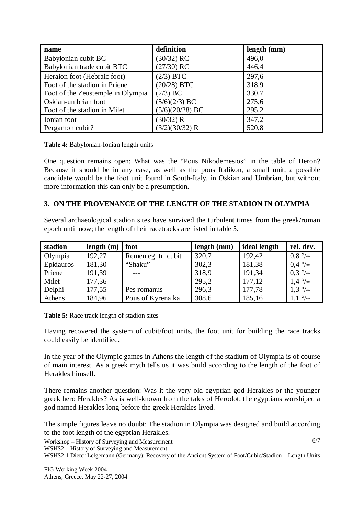| name                              | definition        | length (mm) |
|-----------------------------------|-------------------|-------------|
| Babylonian cubit BC               | $(30/32)$ RC      | 496,0       |
| Babylonian trade cubit BTC        | $(27/30)$ RC      | 446,4       |
| Heraion foot (Hebraic foot)       | $(2/3)$ BTC       | 297,6       |
| Foot of the stadion in Priene     | $(20/28)$ BTC     | 318,9       |
| Foot of the Zeustemple in Olympia | $(2/3)$ BC        | 330,7       |
| Oskian-umbrian foot               | $(5/6)(2/3)$ BC   | 275,6       |
| Foot of the stadion in Milet      | $(5/6)(20/28)$ BC | 295,2       |
| Ionian foot                       | (30/32) R         | 347,2       |
| Pergamon cubit?                   | (3/2)(30/32) R    | 520,8       |

#### **Table 4:** Babylonian-Ionian length units

One question remains open: What was the "Pous Nikodemesios" in the table of Heron? Because it should be in any case, as well as the pous Italikon, a small unit, a possible candidate would be the foot unit found in South-Italy, in Oskian and Umbrian, but without more information this can only be a presumption.

## **3. ON THE PROVENANCE OF THE LENGTH OF THE STADION IN OLYMPIA**

Several archaeological stadion sites have survived the turbulent times from the greek/roman epoch until now; the length of their racetracks are listed in table 5.

| stadion   | length $(m)$ | foot                | length (mm) | ideal length | rel. dev.                |
|-----------|--------------|---------------------|-------------|--------------|--------------------------|
| Olympia   | 192,27       | Remen eg. tr. cubit | 320,7       | 192,42       | $0.8\degree$ / $\circ$   |
| Epidauros | 181,30       | "Shaku"             | 302,3       | 181,38       | $0.4\degree$             |
| Priene    | 191,39       |                     | 318,9       | 191,34       | $0.3\frac{\circ}{\circ}$ |
| Milet     | 177,36       |                     | 295,2       | 177,12       | $1.4\frac{\circ}{\circ}$ |
| Delphi    | 177,55       | Pes romanus         | 296,3       | 177,78       | $1,3\degree$ / $\circ$   |
| Athens    | 184,96       | Pous of Kyrenaika   | 308,6       | 185,16       | $1,1 \degree$            |

**Table 5:** Race track length of stadion sites

Having recovered the system of cubit/foot units, the foot unit for building the race tracks could easily be identified.

In the year of the Olympic games in Athens the length of the stadium of Olympia is of course of main interest. As a greek myth tells us it was build according to the length of the foot of Herakles himself.

There remains another question: Was it the very old egyptian god Herakles or the younger greek hero Herakles? As is well-known from the tales of Herodot, the egyptians worshiped a god named Herakles long before the greek Herakles lived.

The simple figures leave no doubt: The stadion in Olympia was designed and build according to the foot length of the egyptian Herakles.

6/7